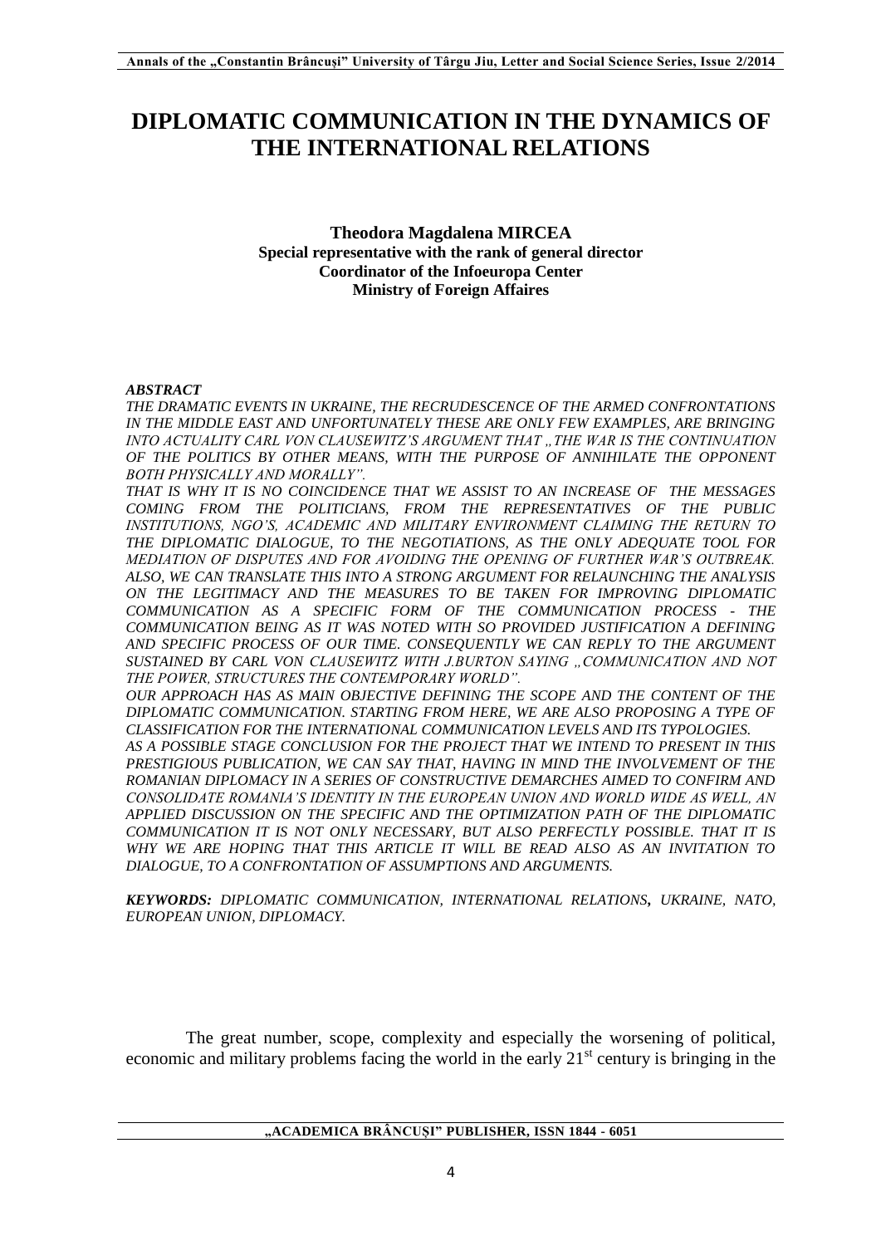# **DIPLOMATIC COMMUNICATION IN THE DYNAMICS OF THE INTERNATIONAL RELATIONS**

### **Theodora Magdalena MIRCEA Special representative with the rank of general director Coordinator of the Infoeuropa Center Ministry of Foreign Affaires**

#### *ABSTRACT*

*THE DRAMATIC EVENTS IN UKRAINE, THE RECRUDESCENCE OF THE ARMED CONFRONTATIONS*  IN THE MIDDLE EAST AND UNFORTUNATELY THESE ARE ONLY FEW EXAMPLES, ARE BRINGING *INTO ACTUALITY CARL VON CLAUSEWITZ'S ARGUMENT THAT "THE WAR IS THE CONTINUATION OF THE POLITICS BY OTHER MEANS, WITH THE PURPOSE OF ANNIHILATE THE OPPONENT BOTH PHYSICALLY AND MORALLY".*

*THAT IS WHY IT IS NO COINCIDENCE THAT WE ASSIST TO AN INCREASE OF THE MESSAGES COMING FROM THE POLITICIANS, FROM THE REPRESENTATIVES OF THE PUBLIC INSTITUTIONS, NGO'S, ACADEMIC AND MILITARY ENVIRONMENT CLAIMING THE RETURN TO THE DIPLOMATIC DIALOGUE, TO THE NEGOTIATIONS, AS THE ONLY ADEQUATE TOOL FOR MEDIATION OF DISPUTES AND FOR AVOIDING THE OPENING OF FURTHER WAR'S OUTBREAK. ALSO, WE CAN TRANSLATE THIS INTO A STRONG ARGUMENT FOR RELAUNCHING THE ANALYSIS ON THE LEGITIMACY AND THE MEASURES TO BE TAKEN FOR IMPROVING DIPLOMATIC COMMUNICATION AS A SPECIFIC FORM OF THE COMMUNICATION PROCESS - THE COMMUNICATION BEING AS IT WAS NOTED WITH SO PROVIDED JUSTIFICATION A DEFINING AND SPECIFIC PROCESS OF OUR TIME. CONSEQUENTLY WE CAN REPLY TO THE ARGUMENT SUSTAINED BY CARL VON CLAUSEWITZ WITH J.BURTON SAYING "COMMUNICATION AND NOT THE POWER, STRUCTURES THE CONTEMPORARY WORLD".*

*OUR APPROACH HAS AS MAIN OBJECTIVE DEFINING THE SCOPE AND THE CONTENT OF THE DIPLOMATIC COMMUNICATION. STARTING FROM HERE, WE ARE ALSO PROPOSING A TYPE OF CLASSIFICATION FOR THE INTERNATIONAL COMMUNICATION LEVELS AND ITS TYPOLOGIES. AS A POSSIBLE STAGE CONCLUSION FOR THE PROJECT THAT WE INTEND TO PRESENT IN THIS PRESTIGIOUS PUBLICATION, WE CAN SAY THAT, HAVING IN MIND THE INVOLVEMENT OF THE ROMANIAN DIPLOMACY IN A SERIES OF CONSTRUCTIVE DEMARCHES AIMED TO CONFIRM AND CONSOLIDATE ROMANIA'S IDENTITY IN THE EUROPEAN UNION AND WORLD WIDE AS WELL, AN APPLIED DISCUSSION ON THE SPECIFIC AND THE OPTIMIZATION PATH OF THE DIPLOMATIC*  COMMUNICATION IT IS NOT ONLY NECESSARY, BUT ALSO PERFECTLY POSSIBLE. THAT IT IS *WHY WE ARE HOPING THAT THIS ARTICLE IT WILL BE READ ALSO AS AN INVITATION TO DIALOGUE, TO A CONFRONTATION OF ASSUMPTIONS AND ARGUMENTS.* 

*KEYWORDS: DIPLOMATIC COMMUNICATION, INTERNATIONAL RELATIONS, UKRAINE, NATO, EUROPEAN UNION, DIPLOMACY.*

The great number, scope, complexity and especially the worsening of political, economic and military problems facing the world in the early  $21<sup>st</sup>$  century is bringing in the

**"ACADEMICA BRÂNCUȘI" PUBLISHER, ISSN 1844 - 6051**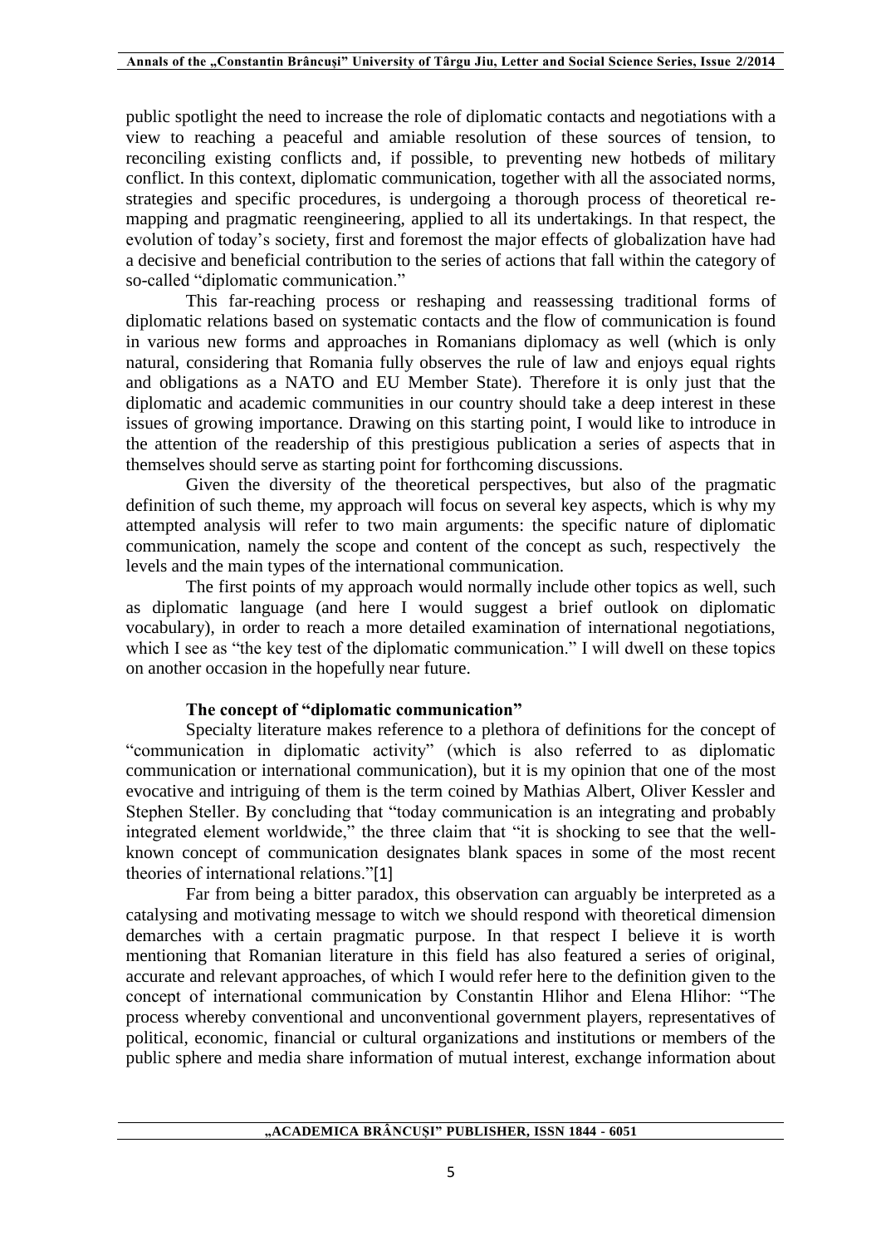public spotlight the need to increase the role of diplomatic contacts and negotiations with a view to reaching a peaceful and amiable resolution of these sources of tension, to reconciling existing conflicts and, if possible, to preventing new hotbeds of military conflict. In this context, diplomatic communication, together with all the associated norms, strategies and specific procedures, is undergoing a thorough process of theoretical remapping and pragmatic reengineering, applied to all its undertakings. In that respect, the evolution of today's society, first and foremost the major effects of globalization have had a decisive and beneficial contribution to the series of actions that fall within the category of so-called "diplomatic communication."

This far-reaching process or reshaping and reassessing traditional forms of diplomatic relations based on systematic contacts and the flow of communication is found in various new forms and approaches in Romanians diplomacy as well (which is only natural, considering that Romania fully observes the rule of law and enjoys equal rights and obligations as a NATO and EU Member State). Therefore it is only just that the diplomatic and academic communities in our country should take a deep interest in these issues of growing importance. Drawing on this starting point, I would like to introduce in the attention of the readership of this prestigious publication a series of aspects that in themselves should serve as starting point for forthcoming discussions.

Given the diversity of the theoretical perspectives, but also of the pragmatic definition of such theme, my approach will focus on several key aspects, which is why my attempted analysis will refer to two main arguments: the specific nature of diplomatic communication, namely the scope and content of the concept as such, respectively the levels and the main types of the international communication.

The first points of my approach would normally include other topics as well, such as diplomatic language (and here I would suggest a brief outlook on diplomatic vocabulary), in order to reach a more detailed examination of international negotiations, which I see as "the key test of the diplomatic communication." I will dwell on these topics on another occasion in the hopefully near future.

# **The concept of "diplomatic communication"**

Specialty literature makes reference to a plethora of definitions for the concept of "communication in diplomatic activity" (which is also referred to as diplomatic communication or international communication), but it is my opinion that one of the most evocative and intriguing of them is the term coined by Mathias Albert, Oliver Kessler and Stephen Steller. By concluding that "today communication is an integrating and probably integrated element worldwide," the three claim that "it is shocking to see that the wellknown concept of communication designates blank spaces in some of the most recent theories of international relations."[1]

Far from being a bitter paradox, this observation can arguably be interpreted as a catalysing and motivating message to witch we should respond with theoretical dimension demarches with a certain pragmatic purpose. In that respect I believe it is worth mentioning that Romanian literature in this field has also featured a series of original, accurate and relevant approaches, of which I would refer here to the definition given to the concept of international communication by Constantin Hlihor and Elena Hlihor: "The process whereby conventional and unconventional government players, representatives of political, economic, financial or cultural organizations and institutions or members of the public sphere and media share information of mutual interest, exchange information about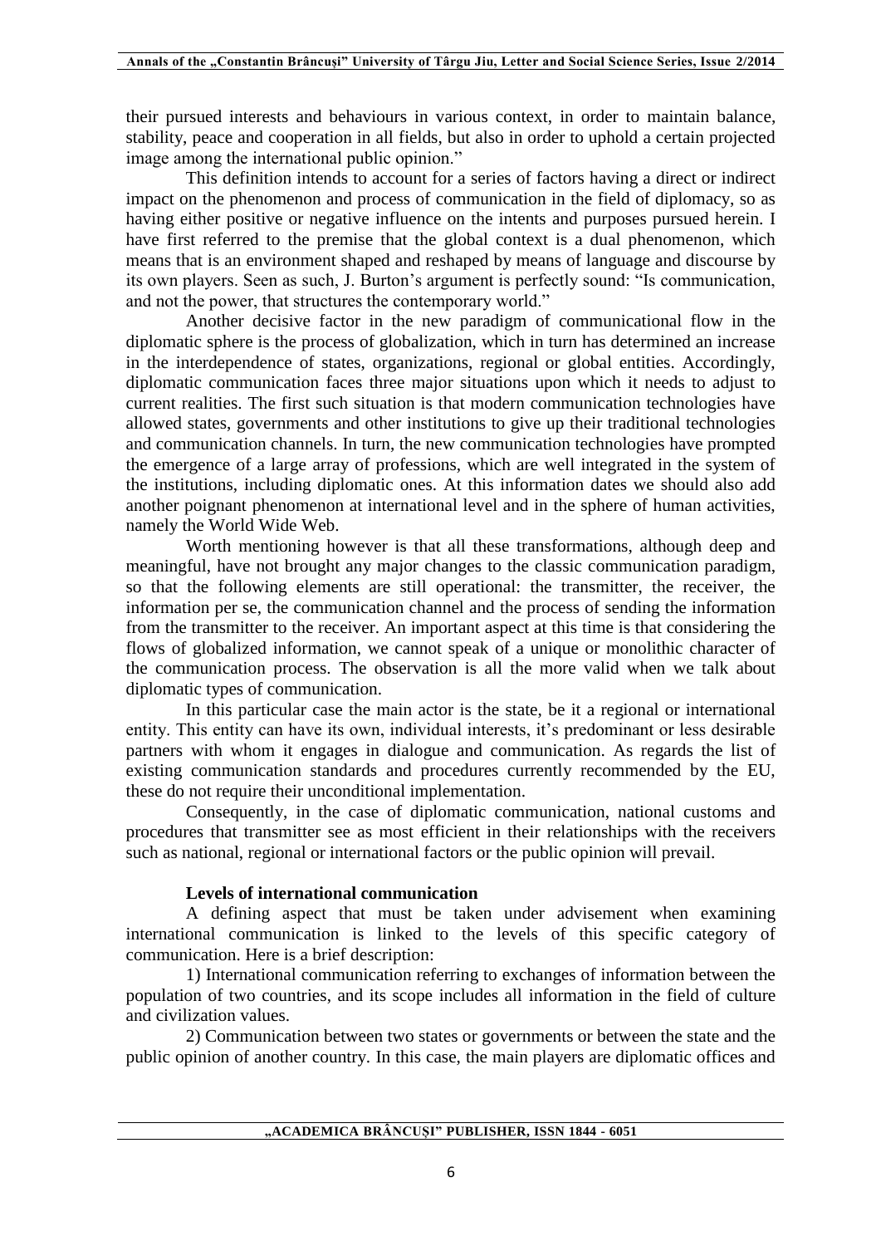their pursued interests and behaviours in various context, in order to maintain balance, stability, peace and cooperation in all fields, but also in order to uphold a certain projected image among the international public opinion."

This definition intends to account for a series of factors having a direct or indirect impact on the phenomenon and process of communication in the field of diplomacy, so as having either positive or negative influence on the intents and purposes pursued herein. I have first referred to the premise that the global context is a dual phenomenon, which means that is an environment shaped and reshaped by means of language and discourse by its own players. Seen as such, J. Burton's argument is perfectly sound: "Is communication, and not the power, that structures the contemporary world."

Another decisive factor in the new paradigm of communicational flow in the diplomatic sphere is the process of globalization, which in turn has determined an increase in the interdependence of states, organizations, regional or global entities. Accordingly, diplomatic communication faces three major situations upon which it needs to adjust to current realities. The first such situation is that modern communication technologies have allowed states, governments and other institutions to give up their traditional technologies and communication channels. In turn, the new communication technologies have prompted the emergence of a large array of professions, which are well integrated in the system of the institutions, including diplomatic ones. At this information dates we should also add another poignant phenomenon at international level and in the sphere of human activities, namely the World Wide Web.

Worth mentioning however is that all these transformations, although deep and meaningful, have not brought any major changes to the classic communication paradigm, so that the following elements are still operational: the transmitter, the receiver, the information per se, the communication channel and the process of sending the information from the transmitter to the receiver. An important aspect at this time is that considering the flows of globalized information, we cannot speak of a unique or monolithic character of the communication process. The observation is all the more valid when we talk about diplomatic types of communication.

In this particular case the main actor is the state, be it a regional or international entity. This entity can have its own, individual interests, it's predominant or less desirable partners with whom it engages in dialogue and communication. As regards the list of existing communication standards and procedures currently recommended by the EU, these do not require their unconditional implementation.

Consequently, in the case of diplomatic communication, national customs and procedures that transmitter see as most efficient in their relationships with the receivers such as national, regional or international factors or the public opinion will prevail.

## **Levels of international communication**

A defining aspect that must be taken under advisement when examining international communication is linked to the levels of this specific category of communication. Here is a brief description:

1) International communication referring to exchanges of information between the population of two countries, and its scope includes all information in the field of culture and civilization values.

2) Communication between two states or governments or between the state and the public opinion of another country. In this case, the main players are diplomatic offices and

**"ACADEMICA BRÂNCUȘI" PUBLISHER, ISSN 1844 - 6051**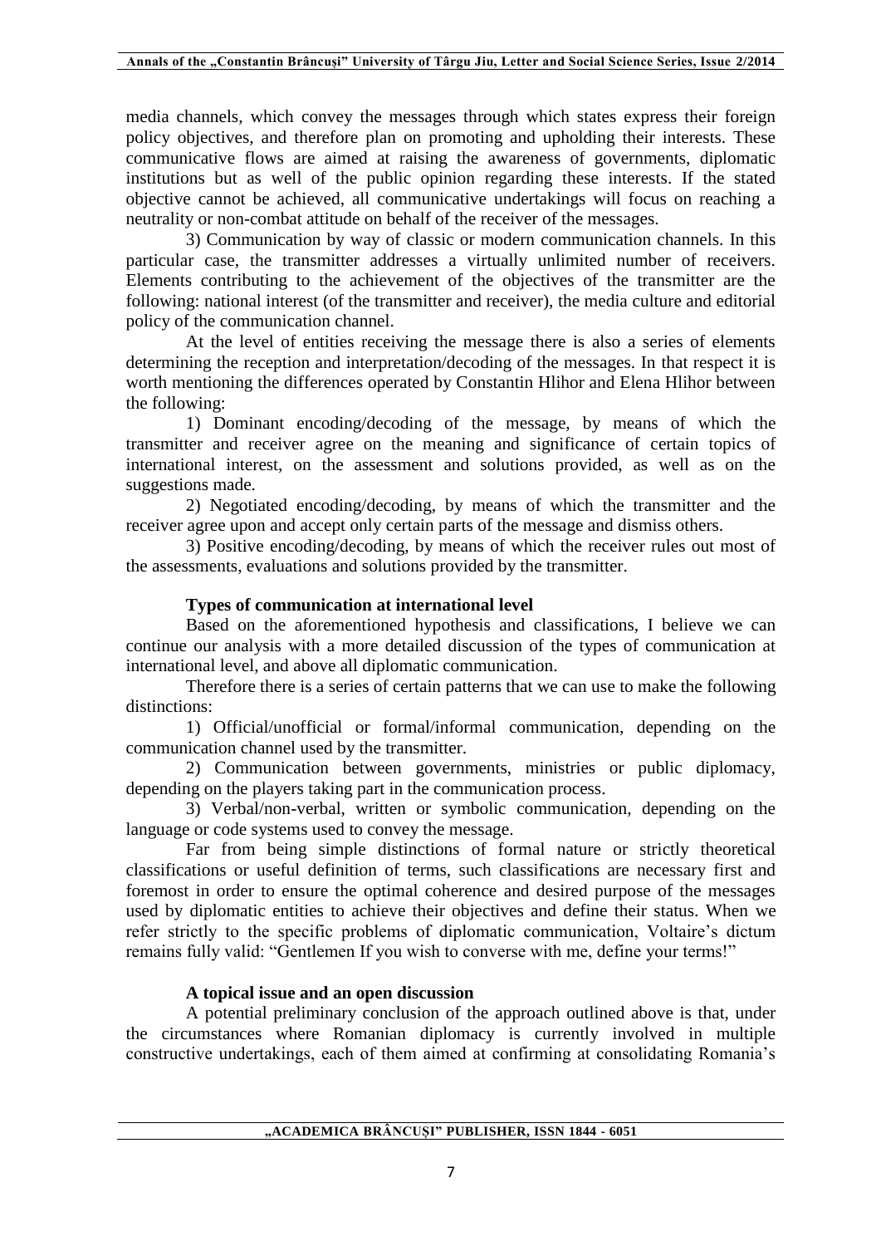media channels, which convey the messages through which states express their foreign policy objectives, and therefore plan on promoting and upholding their interests. These communicative flows are aimed at raising the awareness of governments, diplomatic institutions but as well of the public opinion regarding these interests. If the stated objective cannot be achieved, all communicative undertakings will focus on reaching a neutrality or non-combat attitude on behalf of the receiver of the messages.

3) Communication by way of classic or modern communication channels. In this particular case, the transmitter addresses a virtually unlimited number of receivers. Elements contributing to the achievement of the objectives of the transmitter are the following: national interest (of the transmitter and receiver), the media culture and editorial policy of the communication channel.

At the level of entities receiving the message there is also a series of elements determining the reception and interpretation/decoding of the messages. In that respect it is worth mentioning the differences operated by Constantin Hlihor and Elena Hlihor between the following:

1) Dominant encoding/decoding of the message, by means of which the transmitter and receiver agree on the meaning and significance of certain topics of international interest, on the assessment and solutions provided, as well as on the suggestions made.

2) Negotiated encoding/decoding, by means of which the transmitter and the receiver agree upon and accept only certain parts of the message and dismiss others.

3) Positive encoding/decoding, by means of which the receiver rules out most of the assessments, evaluations and solutions provided by the transmitter.

# **Types of communication at international level**

Based on the aforementioned hypothesis and classifications, I believe we can continue our analysis with a more detailed discussion of the types of communication at international level, and above all diplomatic communication.

Therefore there is a series of certain patterns that we can use to make the following distinctions:

1) Official/unofficial or formal/informal communication, depending on the communication channel used by the transmitter.

2) Communication between governments, ministries or public diplomacy, depending on the players taking part in the communication process.

3) Verbal/non-verbal, written or symbolic communication, depending on the language or code systems used to convey the message.

Far from being simple distinctions of formal nature or strictly theoretical classifications or useful definition of terms, such classifications are necessary first and foremost in order to ensure the optimal coherence and desired purpose of the messages used by diplomatic entities to achieve their objectives and define their status. When we refer strictly to the specific problems of diplomatic communication, Voltaire's dictum remains fully valid: "Gentlemen If you wish to converse with me, define your terms!"

# **A topical issue and an open discussion**

A potential preliminary conclusion of the approach outlined above is that, under the circumstances where Romanian diplomacy is currently involved in multiple constructive undertakings, each of them aimed at confirming at consolidating Romania's